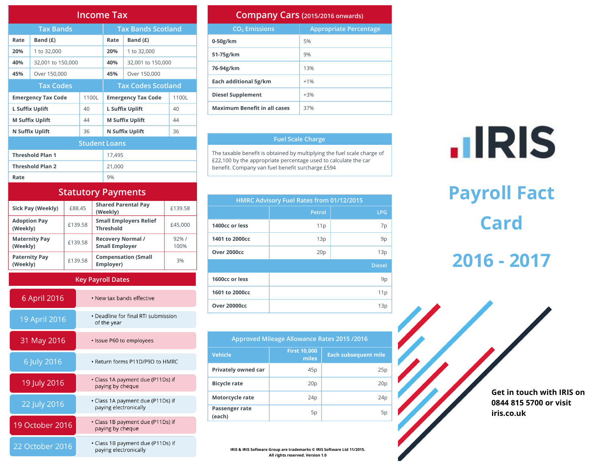| <b>Income Tax</b>       |                           |       |                           |                        |    |  |  |
|-------------------------|---------------------------|-------|---------------------------|------------------------|----|--|--|
|                         | <b>Tax Bands</b>          |       | <b>Tax Bands Scotland</b> |                        |    |  |  |
| Rate                    | Band $(E)$                |       | Rate                      | Band $(E)$             |    |  |  |
| 20%                     | 1 to 32,000               |       | 20%                       | 1 to 32,000            |    |  |  |
| 40%                     | 32,001 to 150,000         |       | 40%                       | 32,001 to 150,000      |    |  |  |
| 45%                     | Over 150,000              |       | 45%                       | Over 150,000           |    |  |  |
| <b>Tax Codes</b>        |                           |       | <b>Tax Codes Scotland</b> |                        |    |  |  |
|                         | <b>Emergency Tax Code</b> | 1100L | <b>Emergency Tax Code</b> | 1100L                  |    |  |  |
|                         | L Suffix Uplift           | 40    |                           | L Suffix Uplift        | 40 |  |  |
|                         | <b>M Suffix Uplift</b>    | 44    |                           | <b>M Suffix Uplift</b> | 44 |  |  |
| N Suffix Uplift<br>36   |                           |       | N Suffix Uplift           | 36                     |    |  |  |
| <b>Student Loans</b>    |                           |       |                           |                        |    |  |  |
| <b>Threshold Plan 1</b> |                           |       | 17,495                    |                        |    |  |  |
| <b>Threshold Plan 2</b> |                           |       | 21,000                    |                        |    |  |  |
| Rate                    |                           |       | 9%                        |                        |    |  |  |

#### **Statutory Payments**

| Sick Pay (Weekly)                | £88.45  | <b>Shared Parental Pay</b><br>(Weekly)            | £139.58       |
|----------------------------------|---------|---------------------------------------------------|---------------|
| <b>Adoption Pay</b><br>(Weekly)  | £139.58 | <b>Small Employers Relief</b><br><b>Threshold</b> | £45,000       |
| <b>Maternity Pay</b><br>(Weekly) | £139.58 | <b>Recovery Normal /</b><br><b>Small Employer</b> | 92% /<br>100% |
| <b>Paternity Pay</b><br>(Weekly) | £139.58 | <b>Compensation (Small</b><br>Employer)           | 3%            |

#### **Key Payroll Dates**

| 6 April 2016    | • New tax bands effective                                  |
|-----------------|------------------------------------------------------------|
| 19 April 2016   | • Deadline for final RTI submission<br>of the year         |
| 31 May 2016     | · Issue P60 to employees                                   |
| 6 July 2016     | • Return forms P11D/P9D to HMRC                            |
| 19 July 2016    | • Class 1A payment due (P11Ds) if<br>paying by cheque      |
| 22 July 2016    | • Class 1A payment due (P11Ds) if<br>paying electronically |
| 19 October 2016 | • Class 1B payment due (P11Ds) if<br>paying by cheque      |
| 22 October 2016 | • Class 1B payment due (P11Ds) if<br>paying electronically |

#### **Company Cars (2015/2016 onwards)**

| COTTIP GITY CATS (2015/2016 onwards) |                               |  |  |  |  |  |
|--------------------------------------|-------------------------------|--|--|--|--|--|
| CO <sub>2</sub> Emissions            | <b>Appropriate Percentage</b> |  |  |  |  |  |
| $0-50g/km$                           | 5%                            |  |  |  |  |  |
| 51-75g/km                            | 9%                            |  |  |  |  |  |
| 76-94g/km                            | 13%                           |  |  |  |  |  |
| Each additional 5g/km                | $+1%$                         |  |  |  |  |  |
| <b>Diesel Supplement</b>             | $+3%$                         |  |  |  |  |  |
| <b>Maximum Benefit in all cases</b>  | 37%                           |  |  |  |  |  |

#### **Fuel Scale Charge**

The taxable benefit is obtained by multiplying the fuel scale charge of £22,100 by the appropriate percentage used to calculate the car benefit. Company van fuel benefit surcharge £594

| HMRC Advisory Fuel Rates from 01/12/2015 |               |               |  |  |  |  |  |
|------------------------------------------|---------------|---------------|--|--|--|--|--|
|                                          | <b>Petrol</b> | <b>LPG</b>    |  |  |  |  |  |
| 1400cc or less                           | 11p           | 7p            |  |  |  |  |  |
| 1401 to 2000cc                           | 13p           | 9p            |  |  |  |  |  |
| Over 2000cc                              | 20p           | 13p           |  |  |  |  |  |
|                                          |               | <b>Diesel</b> |  |  |  |  |  |
| 1600cc or less                           |               | 9p            |  |  |  |  |  |
| 1601 to 2000cc                           |               | 11p           |  |  |  |  |  |
| <b>Over 20000cc</b>                      |               | 13p           |  |  |  |  |  |

| Approved Mileage Allowance Rates 2015 /2016 |                              |                             |  |  |  |  |
|---------------------------------------------|------------------------------|-----------------------------|--|--|--|--|
| <b>Vehicle</b>                              | <b>First 10,000</b><br>miles | <b>Each subsequent mile</b> |  |  |  |  |
| Privately owned car                         | 45p                          | 25p                         |  |  |  |  |
| <b>Bicycle rate</b>                         | 20 <sub>p</sub>              | 20 <sub>p</sub>             |  |  |  |  |
| Motorcycle rate                             | 24 <sub>p</sub>              | 24p                         |  |  |  |  |
| Passenger rate<br>(each)                    | 5p                           | 5p                          |  |  |  |  |

**IRIS & IRIS Software Group are trademarks © IRIS Software Ltd 11/2015. All rights reserved. Version 1.0**

# **.IRIS**

## **Payroll Fact Card**

### **2016 - 2017**

**Get in touch with IRIS on 0844 815 5700 or visit iris.co.uk**